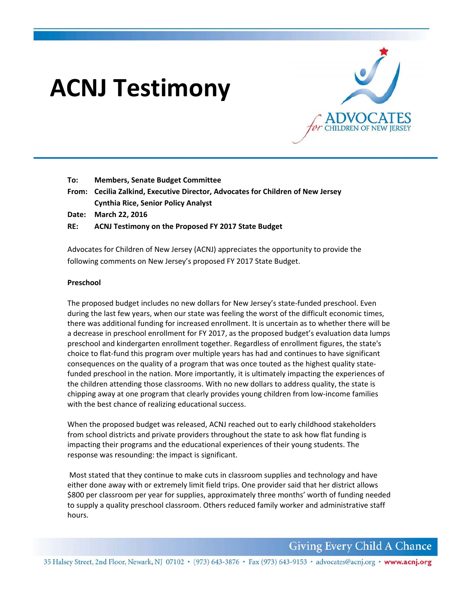# **ACNJ Testimony**



- **To: Members, Senate Budget Committee**
- **From: Cecilia Zalkind, Executive Director, Advocates for Children of New Jersey Cynthia Rice, Senior Policy Analyst**
- **Date: March 22, 2016**

## **RE: ACNJ Testimony on the Proposed FY 2017 State Budget**

Advocates for Children of New Jersey (ACNJ) appreciates the opportunity to provide the following comments on New Jersey's proposed FY 2017 State Budget.

## **Preschool**

The proposed budget includes no new dollars for New Jersey's state-funded preschool. Even during the last few years, when our state was feeling the worst of the difficult economic times, there was additional funding for increased enrollment. It is uncertain as to whether there will be a decrease in preschool enrollment for FY 2017, as the proposed budget's evaluation data lumps preschool and kindergarten enrollment together. Regardless of enrollment figures, the state's choice to flat‐fund this program over multiple years has had and continues to have significant consequences on the quality of a program that was once touted as the highest quality state‐ funded preschool in the nation. More importantly, it is ultimately impacting the experiences of the children attending those classrooms. With no new dollars to address quality, the state is chipping away at one program that clearly provides young children from low‐income families with the best chance of realizing educational success.

When the proposed budget was released, ACNJ reached out to early childhood stakeholders from school districts and private providers throughout the state to ask how flat funding is impacting their programs and the educational experiences of their young students. The response was resounding: the impact is significant.

 Most stated that they continue to make cuts in classroom supplies and technology and have either done away with or extremely limit field trips. One provider said that her district allows \$800 per classroom per year for supplies, approximately three months' worth of funding needed to supply a quality preschool classroom. Others reduced family worker and administrative staff hours.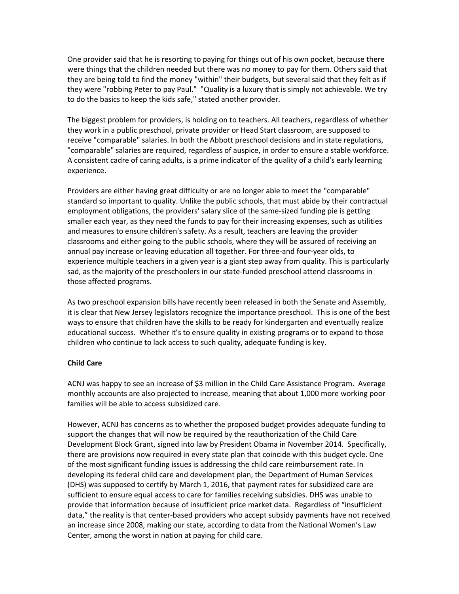One provider said that he is resorting to paying for things out of his own pocket, because there were things that the children needed but there was no money to pay for them. Others said that they are being told to find the money "within" their budgets, but several said that they felt as if they were "robbing Peter to pay Paul." "Quality is a luxury that is simply not achievable. We try to do the basics to keep the kids safe," stated another provider.

The biggest problem for providers, is holding on to teachers. All teachers, regardless of whether they work in a public preschool, private provider or Head Start classroom, are supposed to receive "comparable" salaries. In both the Abbott preschool decisions and in state regulations, "comparable" salaries are required, regardless of auspice, in order to ensure a stable workforce. A consistent cadre of caring adults, is a prime indicator of the quality of a child's early learning experience.

Providers are either having great difficulty or are no longer able to meet the "comparable" standard so important to quality. Unlike the public schools, that must abide by their contractual employment obligations, the providers' salary slice of the same‐sized funding pie is getting smaller each year, as they need the funds to pay for their increasing expenses, such as utilities and measures to ensure children's safety. As a result, teachers are leaving the provider classrooms and either going to the public schools, where they will be assured of receiving an annual pay increase or leaving education all together. For three-and four-year olds, to experience multiple teachers in a given year is a giant step away from quality. This is particularly sad, as the majority of the preschoolers in our state-funded preschool attend classrooms in those affected programs.

As two preschool expansion bills have recently been released in both the Senate and Assembly, it is clear that New Jersey legislators recognize the importance preschool. This is one of the best ways to ensure that children have the skills to be ready for kindergarten and eventually realize educational success. Whether it's to ensure quality in existing programs or to expand to those children who continue to lack access to such quality, adequate funding is key.

### **Child Care**

ACNJ was happy to see an increase of \$3 million in the Child Care Assistance Program. Average monthly accounts are also projected to increase, meaning that about 1,000 more working poor families will be able to access subsidized care.

However, ACNJ has concerns as to whether the proposed budget provides adequate funding to support the changes that will now be required by the reauthorization of the Child Care Development Block Grant, signed into law by President Obama in November 2014. Specifically, there are provisions now required in every state plan that coincide with this budget cycle. One of the most significant funding issues is addressing the child care reimbursement rate. In developing its federal child care and development plan, the Department of Human Services (DHS) was supposed to certify by March 1, 2016, that payment rates for subsidized care are sufficient to ensure equal access to care for families receiving subsidies. DHS was unable to provide that information because of insufficient price market data. Regardless of "insufficient data," the reality is that center‐based providers who accept subsidy payments have not received an increase since 2008, making our state, according to data from the National Women's Law Center, among the worst in nation at paying for child care.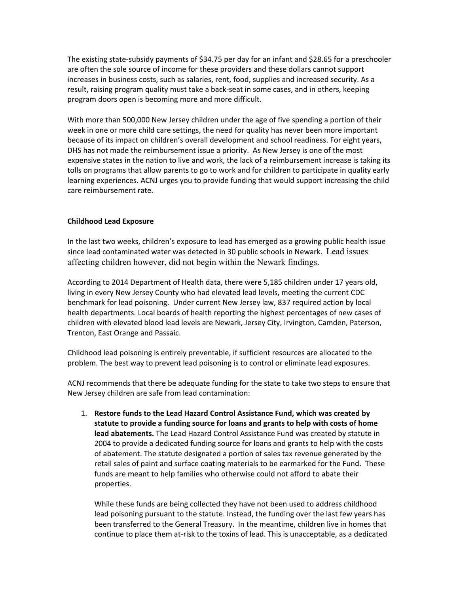The existing state‐subsidy payments of \$34.75 per day for an infant and \$28.65 for a preschooler are often the sole source of income for these providers and these dollars cannot support increases in business costs, such as salaries, rent, food, supplies and increased security. As a result, raising program quality must take a back‐seat in some cases, and in others, keeping program doors open is becoming more and more difficult.

With more than 500,000 New Jersey children under the age of five spending a portion of their week in one or more child care settings, the need for quality has never been more important because of its impact on children's overall development and school readiness. For eight years, DHS has not made the reimbursement issue a priority. As New Jersey is one of the most expensive states in the nation to live and work, the lack of a reimbursement increase is taking its tolls on programs that allow parents to go to work and for children to participate in quality early learning experiences. ACNJ urges you to provide funding that would support increasing the child care reimbursement rate.

## **Childhood Lead Exposure**

In the last two weeks, children's exposure to lead has emerged as a growing public health issue since lead contaminated water was detected in 30 public schools in Newark. Lead issues affecting children however, did not begin within the Newark findings.

According to 2014 Department of Health data, there were 5,185 children under 17 years old, living in every New Jersey County who had elevated lead levels, meeting the current CDC benchmark for lead poisoning. Under current New Jersey law, 837 required action by local health departments. Local boards of health reporting the highest percentages of new cases of children with elevated blood lead levels are Newark, Jersey City, Irvington, Camden, Paterson, Trenton, East Orange and Passaic.

Childhood lead poisoning is entirely preventable, if sufficient resources are allocated to the problem. The best way to prevent lead poisoning is to control or eliminate lead exposures.

ACNJ recommends that there be adequate funding for the state to take two steps to ensure that New Jersey children are safe from lead contamination:

1. **Restore funds to the Lead Hazard Control Assistance Fund, which was created by statute to provide a funding source for loans and grants to help with costs of home lead abatements.** The Lead Hazard Control Assistance Fund was created by statute in 2004 to provide a dedicated funding source for loans and grants to help with the costs of abatement. The statute designated a portion of sales tax revenue generated by the retail sales of paint and surface coating materials to be earmarked for the Fund. These funds are meant to help families who otherwise could not afford to abate their properties.

While these funds are being collected they have not been used to address childhood lead poisoning pursuant to the statute. Instead, the funding over the last few years has been transferred to the General Treasury. In the meantime, children live in homes that continue to place them at‐risk to the toxins of lead. This is unacceptable, as a dedicated